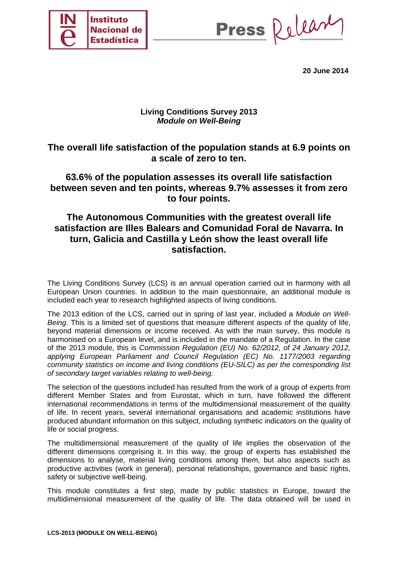

Press Release

**20 June 2014** 

## **Living Conditions Survey 2013**  *Module on Well-Being*

# **The overall life satisfaction of the population stands at 6.9 points on a scale of zero to ten.**

# **63.6% of the population assesses its overall life satisfaction between seven and ten points, whereas 9.7% assesses it from zero to four points.**

# **The Autonomous Communities with the greatest overall life satisfaction are Illes Balears and Comunidad Foral de Navarra. In turn, Galicia and Castilla y León show the least overall life satisfaction.**

The Living Conditions Survey (LCS) is an annual operation carried out in harmony with all European Union countries. In addition to the main questionnaire, an additional module is included each year to research highlighted aspects of living conditions.

The 2013 edition of the LCS, carried out in spring of last year, included a *Module on Well-Being*. This is a limited set of questions that measure different aspects of the quality of life, beyond material dimensions or income received. As with the main survey, this module is harmonised on a European level, and is included in the mandate of a Regulation. In the case of the 2013 module, this is *Commission Regulation (EU) No. 62/2012, of 24 January 2012, applying European Parliament and Council Regulation (EC) No. 1177/2003 regarding community statistics on income and living conditions (EU-SILC) as per the corresponding list of secondary target variables relating to well-being.*

The selection of the questions included has resulted from the work of a group of experts from different Member States and from Eurostat, which in turn, have followed the different international recommendations in terms of the multidimensional measurement of the quality of life. In recent years, several international organisations and academic institutions have produced abundant information on this subject, including synthetic indicators on the quality of life or social progress.

The multidimensional measurement of the quality of life implies the observation of the different dimensions comprising it. In this way, the group of experts has established the dimensions to analyse, material living conditions among them, but also aspects such as productive activities (work in general), personal relationships, governance and basic rights, safety or subjective well-being.

This module constitutes a first step, made by public statistics in Europe, toward the multidimensional measurement of the quality of life. The data obtained will be used in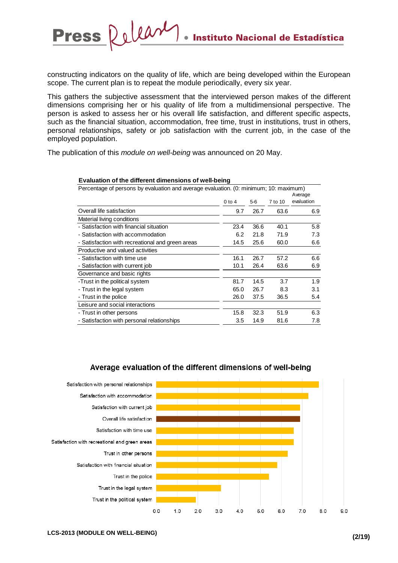constructing indicators on the quality of life, which are being developed within the European scope. The current plan is to repeat the module periodically, every six year.

This gathers the subjective assessment that the interviewed person makes of the different dimensions comprising her or his quality of life from a multidimensional perspective. The person is asked to assess her or his overall life satisfaction, and different specific aspects, such as the financial situation, accommodation, free time, trust in institutions, trust in others, personal relationships, safety or job satisfaction with the current job, in the case of the employed population.

The publication of this *module on well-being* was announced on 20 May.

| Evaluation of the unitrent unnersions of weil-being                                   |          |       |         |            |
|---------------------------------------------------------------------------------------|----------|-------|---------|------------|
| Percentage of persons by evaluation and average evaluation. (0: minimum; 10: maximum) |          |       |         |            |
|                                                                                       |          |       |         | Average    |
|                                                                                       | $0$ to 4 | $5-6$ | 7 to 10 | evaluation |
| Overall life satisfaction                                                             | 9.7      | 26.7  | 63.6    | 6.9        |
| Material living conditions                                                            |          |       |         |            |
| - Satisfaction with financial situation                                               | 23.4     | 36.6  | 40.1    | 5.8        |
| - Satisfaction with accommodation                                                     | 6.2      | 21.8  | 71.9    | 7.3        |
| - Satisfaction with recreational and green areas                                      | 14.5     | 25.6  | 60.0    | 6.6        |
| Productive and valued activities                                                      |          |       |         |            |
| - Satisfaction with time use                                                          | 16.1     | 26.7  | 57.2    | 6.6        |
| - Satisfaction with current job                                                       | 10.1     | 26.4  | 63.6    | 6.9        |
| Governance and basic rights                                                           |          |       |         |            |
| -Trust in the political system                                                        | 81.7     | 14.5  | 3.7     | 1.9        |
| - Trust in the legal system                                                           | 65.0     | 26.7  | 8.3     | 3.1        |
| - Trust in the police                                                                 | 26.0     | 37.5  | 36.5    | 5.4        |
| Leisure and social interactions                                                       |          |       |         |            |
| - Trust in other persons                                                              | 15.8     | 32.3  | 51.9    | 6.3        |
| - Satisfaction with personal relationships                                            | 3.5      | 14.9  | 81.6    | 7.8        |
|                                                                                       |          |       |         |            |

#### **Evaluation of the different dimensions of well-being**

Release

**Press** 

#### Average evaluation of the different dimensions of well-being

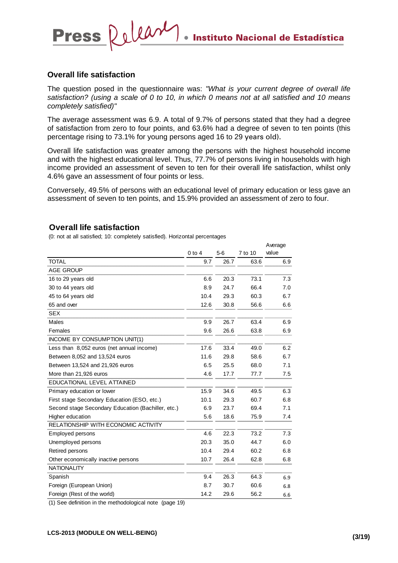### **Overall life satisfaction**

Press Releary

The question posed in the questionnaire was: *"What is your current degree of overall life satisfaction? (using a scale of 0 to 10, in which 0 means not at all satisfied and 10 means completely satisfied)"* 

The average assessment was 6.9. A total of 9.7% of persons stated that they had a degree of satisfaction from zero to four points, and 63.6% had a degree of seven to ten points (this percentage rising to 73.1% for young persons aged 16 to 29 years old).

Overall life satisfaction was greater among the persons with the highest household income and with the highest educational level. Thus, 77.7% of persons living in households with high income provided an assessment of seven to ten for their overall life satisfaction, whilst only 4.6% gave an assessment of four points or less.

Conversely, 49.5% of persons with an educational level of primary education or less gave an assessment of seven to ten points, and 15.9% provided an assessment of zero to four.

#### **Overall life satisfaction**

(0: not at all satisfied; 10: completely satisfied). Horizontal percentages

|                                                    |            |       |         | Average |
|----------------------------------------------------|------------|-------|---------|---------|
|                                                    | $0$ to $4$ | $5-6$ | 7 to 10 | value   |
| <b>TOTAL</b>                                       | 9.7        | 26.7  | 63.6    | 6.9     |
| <b>AGE GROUP</b>                                   |            |       |         |         |
| 16 to 29 years old                                 | 6.6        | 20.3  | 73.1    | 7.3     |
| 30 to 44 years old                                 | 8.9        | 24.7  | 66.4    | 7.0     |
| 45 to 64 years old                                 | 10.4       | 29.3  | 60.3    | 6.7     |
| 65 and over                                        | 12.6       | 30.8  | 56.6    | 6.6     |
| <b>SEX</b>                                         |            |       |         |         |
| Males                                              | 9.9        | 26.7  | 63.4    | 6.9     |
| Females                                            | 9.6        | 26.6  | 63.8    | 6.9     |
| INCOME BY CONSUMPTION UNIT(1)                      |            |       |         |         |
| Less than 8,052 euros (net annual income)          | 17.6       | 33.4  | 49.0    | 6.2     |
| Between 8,052 and 13,524 euros                     | 11.6       | 29.8  | 58.6    | 6.7     |
| Between 13,524 and 21,926 euros                    | 6.5        | 25.5  | 68.0    | 7.1     |
| More than 21,926 euros                             | 4.6        | 17.7  | 77.7    | 7.5     |
| EDUCATIONAL LEVEL ATTAINED                         |            |       |         |         |
| Primary education or lower                         | 15.9       | 34.6  | 49.5    | 6.3     |
| First stage Secondary Education (ESO, etc.)        | 10.1       | 29.3  | 60.7    | 6.8     |
| Second stage Secondary Education (Bachiller, etc.) | 6.9        | 23.7  | 69.4    | 7.1     |
| Higher education                                   | 5.6        | 18.6  | 75.9    | 7.4     |
| RELATIONSHIP WITH ECONOMIC ACTIVITY                |            |       |         |         |
| <b>Employed persons</b>                            | 4.6        | 22.3  | 73.2    | 7.3     |
| Unemployed persons                                 | 20.3       | 35.0  | 44.7    | 6.0     |
| Retired persons                                    | 10.4       | 29.4  | 60.2    | 6.8     |
| Other economically inactive persons                | 10.7       | 26.4  | 62.8    | 6.8     |
| <b>NATIONALITY</b>                                 |            |       |         |         |
| Spanish                                            | 9.4        | 26.3  | 64.3    | 6.9     |
| Foreign (European Union)                           | 8.7        | 30.7  | 60.6    | 6.8     |
| Foreign (Rest of the world)                        | 14.2       | 29.6  | 56.2    | 6.6     |

(1) See definition in the methodological note (page 19)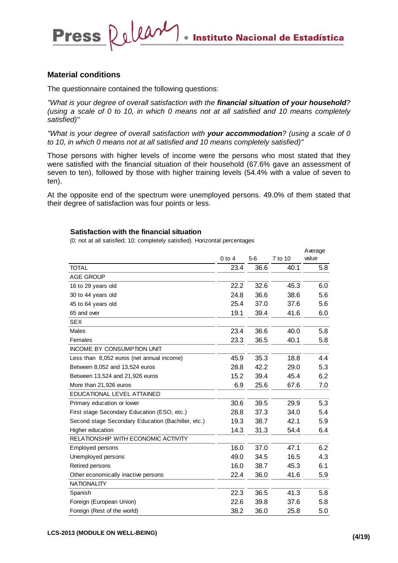Average

#### **Material conditions**

The questionnaire contained the following questions:

Press Releary

*"What is your degree of overall satisfaction with the financial situation of your household? (using a scale of 0 to 10, in which 0 means not at all satisfied and 10 means completely satisfied)"* 

*"What is your degree of overall satisfaction with your accommodation? (using a scale of 0 to 10, in which 0 means not at all satisfied and 10 means completely satisfied)"* 

Those persons with higher levels of income were the persons who most stated that they were satisfied with the financial situation of their household (67.6% gave an assessment of seven to ten), followed by those with higher training levels (54.4% with a value of seven to ten).

At the opposite end of the spectrum were unemployed persons. 49.0% of them stated that their degree of satisfaction was four points or less.

#### **Satisfaction with the financial situation**

|                                                    |            |       |         | Average |
|----------------------------------------------------|------------|-------|---------|---------|
|                                                    | $0$ to $4$ | $5-6$ | 7 to 10 | value   |
| <b>TOTAL</b>                                       | 23.4       | 36.6  | 40.1    | 5.8     |
| <b>AGE GROUP</b>                                   |            |       |         |         |
| 16 to 29 years old                                 | 22.2       | 32.6  | 45.3    | 6.0     |
| 30 to 44 years old                                 | 24.8       | 36.6  | 38.6    | 5.6     |
| 45 to 64 years old                                 | 25.4       | 37.0  | 37.6    | 5.6     |
| 65 and over                                        | 19.1       | 39.4  | 41.6    | 6.0     |
| <b>SEX</b>                                         |            |       |         |         |
| Males                                              | 23.4       | 36.6  | 40.0    | 5.8     |
| Females                                            | 23.3       | 36.5  | 40.1    | 5.8     |
| <b>INCOME BY CONSUMPTION UNIT</b>                  |            |       |         |         |
| Less than 8,052 euros (net annual income)          | 45.9       | 35.3  | 18.8    | 4.4     |
| Between 8,052 and 13,524 euros                     | 28.8       | 42.2  | 29.0    | 5.3     |
| Between 13,524 and 21,926 euros                    | 15.2       | 39.4  | 45.4    | 6.2     |
| More than 21,926 euros                             | 6.9        | 25.6  | 67.6    | 7.0     |
| EDUCATIONAL LEVEL ATTAINED                         |            |       |         |         |
| Primary education or lower                         | 30.6       | 39.5  | 29.9    | 5.3     |
| First stage Secondary Education (ESO, etc.)        | 28.8       | 37.3  | 34.0    | 5.4     |
| Second stage Secondary Education (Bachiller, etc.) | 19.3       | 38.7  | 42.1    | 5.9     |
| Higher education                                   | 14.3       | 31.3  | 54.4    | 6.4     |
| RELATIONSHIP WITH ECONOMIC ACTIVITY                |            |       |         |         |
| Employed persons                                   | 16.0       | 37.0  | 47.1    | 6.2     |
| Unemployed persons                                 | 49.0       | 34.5  | 16.5    | 4.3     |
| Retired persons                                    | 16.0       | 38.7  | 45.3    | 6.1     |
| Other economically inactive persons                | 22.4       | 36.0  | 41.6    | 5.9     |
| <b>NATIONALITY</b>                                 |            |       |         |         |
| Spanish                                            | 22.3       | 36.5  | 41.3    | 5.8     |
| Foreign (European Union)                           | 22.6       | 39.8  | 37.6    | 5.8     |
| Foreign (Rest of the world)                        | 38.2       | 36.0  | 25.8    | 5.0     |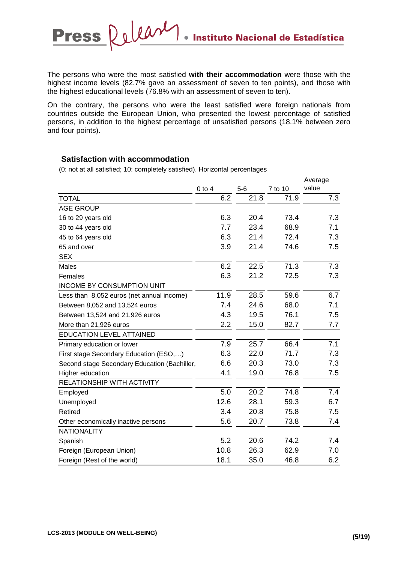The persons who were the most satisfied **with their accommodation** were those with the highest income levels (82.7% gave an assessment of seven to ten points), and those with the highest educational levels (76.8% with an assessment of seven to ten).

On the contrary, the persons who were the least satisfied were foreign nationals from countries outside the European Union, who presented the lowest percentage of satisfied persons, in addition to the highest percentage of unsatisfied persons (18.1% between zero and four points).

## **Satisfaction with accommodation**

Press Release

|                                              |            |       |         | Average |
|----------------------------------------------|------------|-------|---------|---------|
|                                              | $0$ to $4$ | $5-6$ | 7 to 10 | value   |
| <b>TOTAL</b>                                 | 6.2        | 21.8  | 71.9    | 7.3     |
| <b>AGE GROUP</b>                             |            |       |         |         |
| 16 to 29 years old                           | 6.3        | 20.4  | 73.4    | 7.3     |
| 30 to 44 years old                           | 7.7        | 23.4  | 68.9    | 7.1     |
| 45 to 64 years old                           | 6.3        | 21.4  | 72.4    | 7.3     |
| 65 and over                                  | 3.9        | 21.4  | 74.6    | 7.5     |
| <b>SEX</b>                                   |            |       |         |         |
| Males                                        | 6.2        | 22.5  | 71.3    | 7.3     |
| Females                                      | 6.3        | 21.2  | 72.5    | 7.3     |
| <b>INCOME BY CONSUMPTION UNIT</b>            |            |       |         |         |
| Less than 8,052 euros (net annual income)    | 11.9       | 28.5  | 59.6    | 6.7     |
| Between 8,052 and 13,524 euros               | 7.4        | 24.6  | 68.0    | 7.1     |
| Between 13,524 and 21,926 euros              | 4.3        | 19.5  | 76.1    | 7.5     |
| More than 21,926 euros                       | 2.2        | 15.0  | 82.7    | 7.7     |
| <b>EDUCATION LEVEL ATTAINED</b>              |            |       |         |         |
| Primary education or lower                   | 7.9        | 25.7  | 66.4    | 7.1     |
| First stage Secondary Education (ESO,)       | 6.3        | 22.0  | 71.7    | 7.3     |
| Second stage Secondary Education (Bachiller, | 6.6        | 20.3  | 73.0    | 7.3     |
| Higher education                             | 4.1        | 19.0  | 76.8    | 7.5     |
| RELATIONSHIP WITH ACTIVITY                   |            |       |         |         |
| Employed                                     | 5.0        | 20.2  | 74.8    | 7.4     |
| Unemployed                                   | 12.6       | 28.1  | 59.3    | 6.7     |
| Retired                                      | 3.4        | 20.8  | 75.8    | 7.5     |
| Other economically inactive persons          | 5.6        | 20.7  | 73.8    | 7.4     |
| <b>NATIONALITY</b>                           |            |       |         |         |
| Spanish                                      | 5.2        | 20.6  | 74.2    | 7.4     |
| Foreign (European Union)                     | 10.8       | 26.3  | 62.9    | 7.0     |
| Foreign (Rest of the world)                  | 18.1       | 35.0  | 46.8    | 6.2     |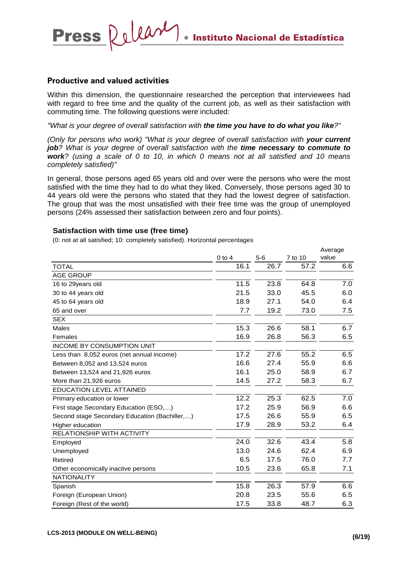## **Productive and valued activities**

Press Releary

Within this dimension, the questionnaire researched the perception that interviewees had with regard to free time and the quality of the current job, as well as their satisfaction with commuting time. The following questions were included:

*"What is your degree of overall satisfaction with the time you have to do what you like?"* 

*(Only for persons who work)* "What is your degree of overall satisfaction with your current *job? What is your degree of overall satisfaction with the time necessary to commute to work? (using a scale of 0 to 10, in which 0 means not at all satisfied and 10 means completely satisfied)"* 

In general, those persons aged 65 years old and over were the persons who were the most satisfied with the time they had to do what they liked. Conversely, those persons aged 30 to 44 years old were the persons who stated that they had the lowest degree of satisfaction. The group that was the most unsatisfied with their free time was the group of unemployed persons (24% assessed their satisfaction between zero and four points).

#### **Satisfaction with time use (free time)**

(0: not at all satisfied; 10: completely satisfied). Horizontal percentages

|                                               | $0$ to $4$ | $5-6$ | 7 to 10 | <b>Aveiage</b><br>value |
|-----------------------------------------------|------------|-------|---------|-------------------------|
| <b>TOTAL</b>                                  | 16.1       | 26.7  | 57.2    | 6.6                     |
| <b>AGE GROUP</b>                              |            |       |         |                         |
| 16 to 29years old                             | 11.5       | 23.8  | 64.8    | 7.0                     |
| 30 to 44 years old                            | 21.5       | 33.0  | 45.5    | 6.0                     |
| 45 to 64 years old                            | 18.9       | 27.1  | 54.0    | 6.4                     |
| 65 and over                                   | 7.7        | 19.2  | 73.0    | 7.5                     |
| <b>SEX</b>                                    |            |       |         |                         |
| Males                                         | 15.3       | 26.6  | 58.1    | 6.7                     |
| Females                                       | 16.9       | 26.8  | 56.3    | 6.5                     |
| <b>INCOME BY CONSUMPTION UNIT</b>             |            |       |         |                         |
| Less than 8,052 euros (net annual income)     | 17.2       | 27.6  | 55.2    | 6.5                     |
| Between 8,052 and 13,524 euros                | 16.6       | 27.4  | 55.9    | 6.6                     |
| Between 13,524 and 21,926 euros               | 16.1       | 25.0  | 58.9    | 6.7                     |
| More than 21,926 euros                        | 14.5       | 27.2  | 58.3    | 6.7                     |
| <b>EDUCATION LEVEL ATTAINED</b>               |            |       |         |                         |
| Primary education or lower                    | 12.2       | 25.3  | 62.5    | 7.0                     |
| First stage Secondary Education (ESO,)        | 17.2       | 25.9  | 56.9    | 6.6                     |
| Second stage Secondary Education (Bachiller,) | 17.5       | 26.6  | 55.9    | 6.5                     |
| Higher education                              | 17.9       | 28.9  | 53.2    | 6.4                     |
| RELATIONSHIP WITH ACTIVITY                    |            |       |         |                         |
| Employed                                      | 24.0       | 32.6  | 43.4    | 5.8                     |
| Unemployed                                    | 13.0       | 24.6  | 62.4    | 6.9                     |
| Retired                                       | 6.5        | 17.5  | 76.0    | 7.7                     |
| Other economically inactive persons           | 10.5       | 23.6  | 65.8    | 7.1                     |
| <b>NATIONALITY</b>                            |            |       |         |                         |
| Spanish                                       | 15.8       | 26.3  | 57.9    | 6.6                     |
| Foreign (European Union)                      | 20.8       | 23.5  | 55.6    | 6.5                     |
| Foreign (Rest of the world)                   | 17.5       | 33.8  | 48.7    | 6.3                     |

Average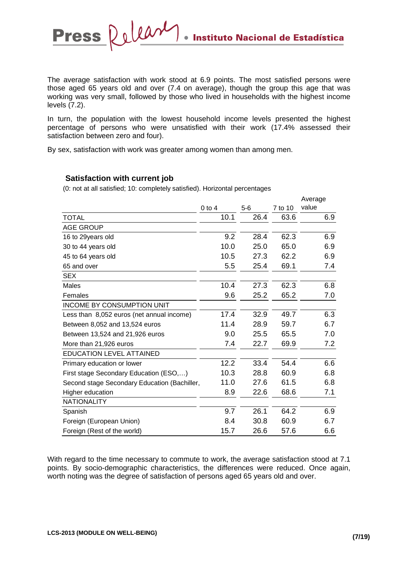**Instituto Nacional de Estadística** 

The average satisfaction with work stood at 6.9 points. The most satisfied persons were those aged 65 years old and over (7.4 on average), though the group this age that was working was very small, followed by those who lived in households with the highest income levels (7.2).

In turn, the population with the lowest household income levels presented the highest percentage of persons who were unsatisfied with their work (17.4% assessed their satisfaction between zero and four).

By sex, satisfaction with work was greater among women than among men.

## **Satisfaction with current job**

Press Release

(0: not at all satisfied; 10: completely satisfied). Horizontal percentages

|                                              |          |       |         | Average |
|----------------------------------------------|----------|-------|---------|---------|
|                                              | $0$ to 4 | $5-6$ | 7 to 10 | value   |
| <b>TOTAL</b>                                 | 10.1     | 26.4  | 63.6    | 6.9     |
| <b>AGE GROUP</b>                             |          |       |         |         |
| 16 to 29years old                            | 9.2      | 28.4  | 62.3    | 6.9     |
| 30 to 44 years old                           | 10.0     | 25.0  | 65.0    | 6.9     |
| 45 to 64 years old                           | 10.5     | 27.3  | 62.2    | 6.9     |
| 65 and over                                  | 5.5      | 25.4  | 69.1    | 7.4     |
| <b>SEX</b>                                   |          |       |         |         |
| <b>Males</b>                                 | 10.4     | 27.3  | 62.3    | 6.8     |
| Females                                      | 9.6      | 25.2  | 65.2    | 7.0     |
| <b>INCOME BY CONSUMPTION UNIT</b>            |          |       |         |         |
| Less than 8,052 euros (net annual income)    | 17.4     | 32.9  | 49.7    | 6.3     |
| Between 8,052 and 13,524 euros               | 11.4     | 28.9  | 59.7    | 6.7     |
| Between 13,524 and 21,926 euros              | 9.0      | 25.5  | 65.5    | 7.0     |
| More than 21,926 euros                       | 7.4      | 22.7  | 69.9    | 7.2     |
| <b>EDUCATION LEVEL ATTAINED</b>              |          |       |         |         |
| Primary education or lower                   | 12.2     | 33.4  | 54.4    | 6.6     |
| First stage Secondary Education (ESO,)       | 10.3     | 28.8  | 60.9    | 6.8     |
| Second stage Secondary Education (Bachiller, | 11.0     | 27.6  | 61.5    | 6.8     |
| Higher education                             | 8.9      | 22.6  | 68.6    | 7.1     |
| <b>NATIONALITY</b>                           |          |       |         |         |
| Spanish                                      | 9.7      | 26.1  | 64.2    | 6.9     |
| Foreign (European Union)                     | 8.4      | 30.8  | 60.9    | 6.7     |
| Foreign (Rest of the world)                  | 15.7     | 26.6  | 57.6    | 6.6     |

With regard to the time necessary to commute to work, the average satisfaction stood at 7.1 points. By socio-demographic characteristics, the differences were reduced. Once again, worth noting was the degree of satisfaction of persons aged 65 years old and over.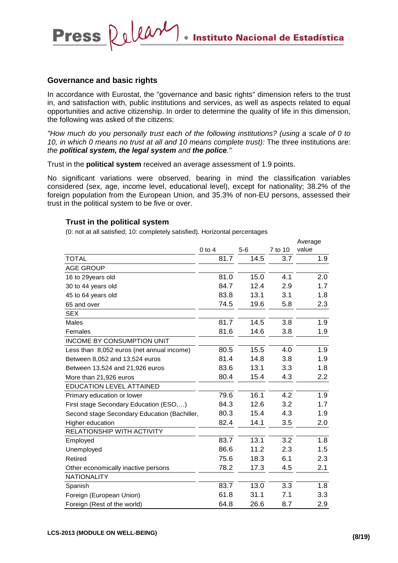Average

### **Governance and basic rights**

Press Releary

In accordance with Eurostat, the "governance and basic rights" dimension refers to the trust in, and satisfaction with, public institutions and services, as well as aspects related to equal opportunities and active citizenship. In order to determine the quality of life in this dimension, the following was asked of the citizens:

*"How much do you personally trust each of the following institutions? (using a scale of 0 to 10, in which 0 means no trust at all and 10 means complete trust):* The three institutions are: *the political system, the legal system and the police."* 

Trust in the **political system** received an average assessment of 1.9 points.

No significant variations were observed, bearing in mind the classification variables considered (sex, age, income level, educational level), except for nationality; 38.2% of the foreign population from the European Union, and 35.3% of non-EU persons, assessed their trust in the political system to be five or over.

#### **Trust in the political system**

|                                              |            |       |         | worago |
|----------------------------------------------|------------|-------|---------|--------|
|                                              | $0$ to $4$ | $5-6$ | 7 to 10 | value  |
| <b>TOTAL</b>                                 | 81.7       | 14.5  | 3.7     | 1.9    |
| <b>AGE GROUP</b>                             |            |       |         |        |
| 16 to 29years old                            | 81.0       | 15.0  | 4.1     | 2.0    |
| 30 to 44 years old                           | 84.7       | 12.4  | 2.9     | 1.7    |
| 45 to 64 years old                           | 83.8       | 13.1  | 3.1     | 1.8    |
| 65 and over                                  | 74.5       | 19.6  | 5.8     | 2.3    |
| <b>SEX</b>                                   |            |       |         |        |
| <b>Males</b>                                 | 81.7       | 14.5  | 3.8     | 1.9    |
| Females                                      | 81.6       | 14.6  | 3.8     | 1.9    |
| <b>INCOME BY CONSUMPTION UNIT</b>            |            |       |         |        |
| Less than 8,052 euros (net annual income)    | 80.5       | 15.5  | 4.0     | 1.9    |
| Between 8,052 and 13,524 euros               | 81.4       | 14.8  | 3.8     | 1.9    |
| Between 13,524 and 21,926 euros              | 83.6       | 13.1  | 3.3     | 1.8    |
| More than 21,926 euros                       | 80.4       | 15.4  | 4.3     | 2.2    |
| EDUCATION LEVEL ATTAINED                     |            |       |         |        |
| Primary education or lower                   | 79.6       | 16.1  | 4.2     | 1.9    |
| First stage Secondary Education (ESO,)       | 84.3       | 12.6  | 3.2     | 1.7    |
| Second stage Secondary Education (Bachiller, | 80.3       | 15.4  | 4.3     | 1.9    |
| Higher education                             | 82.4       | 14.1  | 3.5     | 2.0    |
| RELATIONSHIP WITH ACTIVITY                   |            |       |         |        |
| Employed                                     | 83.7       | 13.1  | 3.2     | 1.8    |
| Unemployed                                   | 86.6       | 11.2  | 2.3     | 1.5    |
| Retired                                      | 75.6       | 18.3  | 6.1     | 2.3    |
| Other economically inactive persons          | 78.2       | 17.3  | 4.5     | 2.1    |
| <b>NATIONALITY</b>                           |            |       |         |        |
| Spanish                                      | 83.7       | 13.0  | 3.3     | 1.8    |
| Foreign (European Union)                     | 61.8       | 31.1  | 7.1     | 3.3    |
| Foreign (Rest of the world)                  | 64.8       | 26.6  | 8.7     | 2.9    |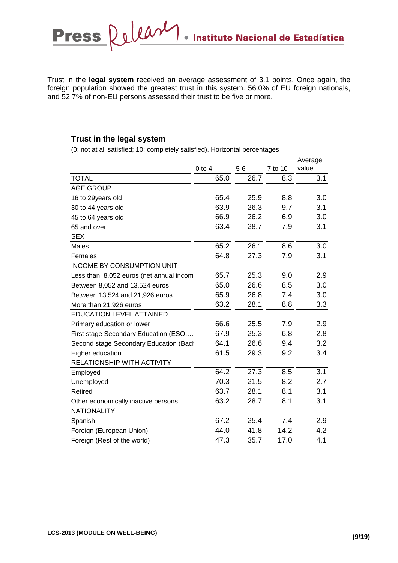Trust in the **legal system** received an average assessment of 3.1 points. Once again, the foreign population showed the greatest trust in this system. 56.0% of EU foreign nationals, and 52.7% of non-EU persons assessed their trust to be five or more.

## **Trust in the legal system**

|                                          |            |       |         | Average |
|------------------------------------------|------------|-------|---------|---------|
|                                          | $0$ to $4$ | $5-6$ | 7 to 10 | value   |
| <b>TOTAL</b>                             | 65.0       | 26.7  | 8.3     | 3.1     |
| <b>AGE GROUP</b>                         |            |       |         |         |
| 16 to 29years old                        | 65.4       | 25.9  | 8.8     | 3.0     |
| 30 to 44 years old                       | 63.9       | 26.3  | 9.7     | 3.1     |
| 45 to 64 years old                       | 66.9       | 26.2  | 6.9     | 3.0     |
| 65 and over                              | 63.4       | 28.7  | 7.9     | 3.1     |
| <b>SEX</b>                               |            |       |         |         |
| Males                                    | 65.2       | 26.1  | 8.6     | 3.0     |
| Females                                  | 64.8       | 27.3  | 7.9     | 3.1     |
| <b>INCOME BY CONSUMPTION UNIT</b>        |            |       |         |         |
| Less than 8,052 euros (net annual incom- | 65.7       | 25.3  | 9.0     | 2.9     |
| Between 8,052 and 13,524 euros           | 65.0       | 26.6  | 8.5     | 3.0     |
| Between 13,524 and 21,926 euros          | 65.9       | 26.8  | 7.4     | 3.0     |
| More than 21,926 euros                   | 63.2       | 28.1  | 8.8     | 3.3     |
| <b>EDUCATION LEVEL ATTAINED</b>          |            |       |         |         |
| Primary education or lower               | 66.6       | 25.5  | 7.9     | 2.9     |
| First stage Secondary Education (ESO,    | 67.9       | 25.3  | 6.8     | 2.8     |
| Second stage Secondary Education (Bach   | 64.1       | 26.6  | 9.4     | 3.2     |
| Higher education                         | 61.5       | 29.3  | 9.2     | 3.4     |
| RELATIONSHIP WITH ACTIVITY               |            |       |         |         |
| Employed                                 | 64.2       | 27.3  | 8.5     | 3.1     |
| Unemployed                               | 70.3       | 21.5  | 8.2     | 2.7     |
| Retired                                  | 63.7       | 28.1  | 8.1     | 3.1     |
| Other economically inactive persons      | 63.2       | 28.7  | 8.1     | 3.1     |
| <b>NATIONALITY</b>                       |            |       |         |         |
| Spanish                                  | 67.2       | 25.4  | 7.4     | 2.9     |
| Foreign (European Union)                 | 44.0       | 41.8  | 14.2    | 4.2     |
| Foreign (Rest of the world)              | 47.3       | 35.7  | 17.0    | 4.1     |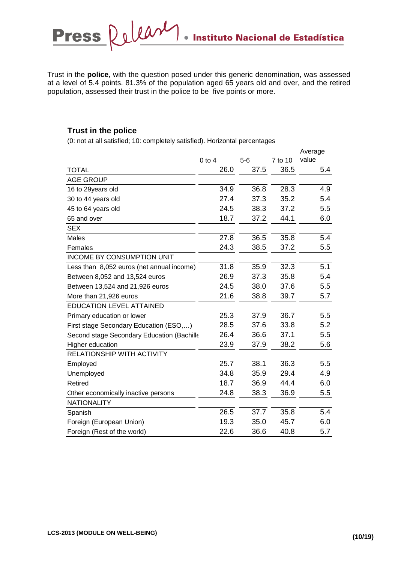Trust in the **police**, with the question posed under this generic denomination, was assessed at a level of 5.4 points. 81.3% of the population aged 65 years old and over, and the retired population, assessed their trust in the police to be five points or more.

## **Trust in the police**

|                                            |            |       |         | Average |
|--------------------------------------------|------------|-------|---------|---------|
|                                            | $0$ to $4$ | $5-6$ | 7 to 10 | value   |
| <b>TOTAL</b>                               | 26.0       | 37.5  | 36.5    | 5.4     |
| <b>AGE GROUP</b>                           |            |       |         |         |
| 16 to 29years old                          | 34.9       | 36.8  | 28.3    | 4.9     |
| 30 to 44 years old                         | 27.4       | 37.3  | 35.2    | 5.4     |
| 45 to 64 years old                         | 24.5       | 38.3  | 37.2    | 5.5     |
| 65 and over                                | 18.7       | 37.2  | 44.1    | 6.0     |
| <b>SEX</b>                                 |            |       |         |         |
| Males                                      | 27.8       | 36.5  | 35.8    | 5.4     |
| Females                                    | 24.3       | 38.5  | 37.2    | 5.5     |
| <b>INCOME BY CONSUMPTION UNIT</b>          |            |       |         |         |
| Less than 8,052 euros (net annual income)  | 31.8       | 35.9  | 32.3    | 5.1     |
| Between 8,052 and 13,524 euros             | 26.9       | 37.3  | 35.8    | 5.4     |
| Between 13,524 and 21,926 euros            | 24.5       | 38.0  | 37.6    | 5.5     |
| More than 21,926 euros                     | 21.6       | 38.8  | 39.7    | 5.7     |
| <b>EDUCATION LEVEL ATTAINED</b>            |            |       |         |         |
| Primary education or lower                 | 25.3       | 37.9  | 36.7    | 5.5     |
| First stage Secondary Education (ESO,)     | 28.5       | 37.6  | 33.8    | 5.2     |
| Second stage Secondary Education (Bachille | 26.4       | 36.6  | 37.1    | 5.5     |
| Higher education                           | 23.9       | 37.9  | 38.2    | 5.6     |
| RELATIONSHIP WITH ACTIVITY                 |            |       |         |         |
| Employed                                   | 25.7       | 38.1  | 36.3    | 5.5     |
| Unemployed                                 | 34.8       | 35.9  | 29.4    | 4.9     |
| Retired                                    | 18.7       | 36.9  | 44.4    | 6.0     |
| Other economically inactive persons        | 24.8       | 38.3  | 36.9    | 5.5     |
| <b>NATIONALITY</b>                         |            |       |         |         |
| Spanish                                    | 26.5       | 37.7  | 35.8    | 5.4     |
| Foreign (European Union)                   | 19.3       | 35.0  | 45.7    | 6.0     |
| Foreign (Rest of the world)                | 22.6       | 36.6  | 40.8    | 5.7     |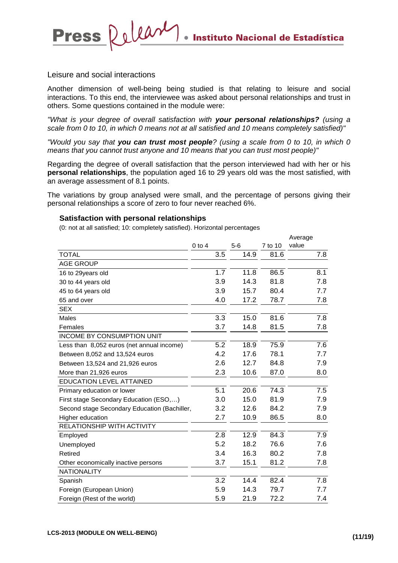#### Leisure and social interactions

Press Release

Another dimension of well-being being studied is that relating to leisure and social interactions. To this end, the interviewee was asked about personal relationships and trust in others. Some questions contained in the module were:

*"What is your degree of overall satisfaction with your personal relationships? (using a scale from 0 to 10, in which 0 means not at all satisfied and 10 means completely satisfied)"* 

*"Would you say that you can trust most people? (using a scale from 0 to 10, in which 0 means that you cannot trust anyone and 10 means that you can trust most people)"* 

Regarding the degree of overall satisfaction that the person interviewed had with her or his **personal relationships**, the population aged 16 to 29 years old was the most satisfied, with an average assessment of 8.1 points.

The variations by group analysed were small, and the percentage of persons giving their personal relationships a score of zero to four never reached 6%.

#### **Satisfaction with personal relationships**

|                                              |            |       |         | Average |
|----------------------------------------------|------------|-------|---------|---------|
|                                              | $0$ to $4$ | $5-6$ | 7 to 10 | value   |
| <b>TOTAL</b>                                 | 3.5        | 14.9  | 81.6    | 7.8     |
| <b>AGE GROUP</b>                             |            |       |         |         |
| 16 to 29years old                            | 1.7        | 11.8  | 86.5    | 8.1     |
| 30 to 44 years old                           | 3.9        | 14.3  | 81.8    | 7.8     |
| 45 to 64 years old                           | 3.9        | 15.7  | 80.4    | 7.7     |
| 65 and over                                  | 4.0        | 17.2  | 78.7    | 7.8     |
| <b>SEX</b>                                   |            |       |         |         |
| Males                                        | 3.3        | 15.0  | 81.6    | 7.8     |
| Females                                      | 3.7        | 14.8  | 81.5    | 7.8     |
| <b>INCOME BY CONSUMPTION UNIT</b>            |            |       |         |         |
| Less than 8,052 euros (net annual income)    | 5.2        | 18.9  | 75.9    | 7.6     |
| Between 8,052 and 13,524 euros               | 4.2        | 17.6  | 78.1    | 7.7     |
| Between 13,524 and 21,926 euros              | 2.6        | 12.7  | 84.8    | 7.9     |
| More than 21,926 euros                       | 2.3        | 10.6  | 87.0    | 8.0     |
| <b>EDUCATION LEVEL ATTAINED</b>              |            |       |         |         |
| Primary education or lower                   | 5.1        | 20.6  | 74.3    | 7.5     |
| First stage Secondary Education (ESO,)       | 3.0        | 15.0  | 81.9    | 7.9     |
| Second stage Secondary Education (Bachiller, | 3.2        | 12.6  | 84.2    | 7.9     |
| Higher education                             | 2.7        | 10.9  | 86.5    | 8.0     |
| <b>RELATIONSHIP WITH ACTIVITY</b>            |            |       |         |         |
| Employed                                     | 2.8        | 12.9  | 84.3    | 7.9     |
| Unemployed                                   | 5.2        | 18.2  | 76.6    | 7.6     |
| Retired                                      | 3.4        | 16.3  | 80.2    | 7.8     |
| Other economically inactive persons          | 3.7        | 15.1  | 81.2    | 7.8     |
| <b>NATIONALITY</b>                           |            |       |         |         |
| Spanish                                      | 3.2        | 14.4  | 82.4    | 7.8     |
| Foreign (European Union)                     | 5.9        | 14.3  | 79.7    | 7.7     |
| Foreign (Rest of the world)                  | 5.9        | 21.9  | 72.2    | 7.4     |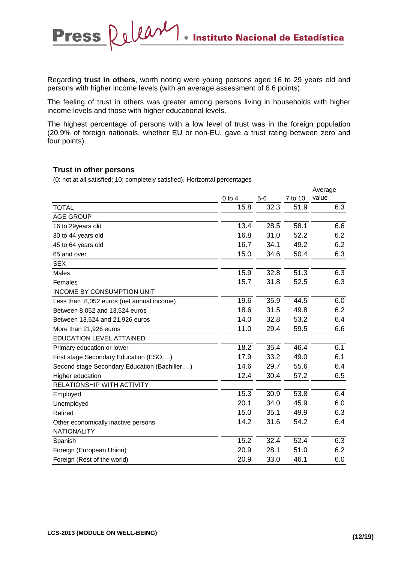Regarding **trust in others**, worth noting were young persons aged 16 to 29 years old and persons with higher income levels (with an average assessment of 6.6 points).

The feeling of trust in others was greater among persons living in households with higher income levels and those with higher educational levels.

The highest percentage of persons with a low level of trust was in the foreign population (20.9% of foreign nationals, whether EU or non-EU, gave a trust rating between zero and four points).

#### **Trust in other persons**

Press Releary

|                                               |            |       |         | Average<br>value |
|-----------------------------------------------|------------|-------|---------|------------------|
|                                               | $0$ to $4$ | $5-6$ | 7 to 10 |                  |
| <b>TOTAL</b>                                  | 15.8       | 32.3  | 51.9    | 6.3              |
| <b>AGE GROUP</b>                              |            |       |         |                  |
| 16 to 29years old                             | 13.4       | 28.5  | 58.1    | 6.6              |
| 30 to 44 years old                            | 16.8       | 31.0  | 52.2    | 6.2              |
| 45 to 64 years old                            | 16.7       | 34.1  | 49.2    | 6.2              |
| 65 and over                                   | 15.0       | 34.6  | 50.4    | 6.3              |
| <b>SEX</b>                                    |            |       |         |                  |
| Males                                         | 15.9       | 32.8  | 51.3    | 6.3              |
| Females                                       | 15.7       | 31.8  | 52.5    | 6.3              |
| <b>INCOME BY CONSUMPTION UNIT</b>             |            |       |         |                  |
| Less than 8,052 euros (net annual income)     | 19.6       | 35.9  | 44.5    | 6.0              |
| Between 8,052 and 13,524 euros                | 18.6       | 31.5  | 49.8    | 6.2              |
| Between 13,524 and 21,926 euros               | 14.0       | 32.8  | 53.2    | 6.4              |
| More than 21,926 euros                        | 11.0       | 29.4  | 59.5    | 6.6              |
| <b>EDUCATION LEVEL ATTAINED</b>               |            |       |         |                  |
| Primary education or lower                    | 18.2       | 35.4  | 46.4    | 6.1              |
| First stage Secondary Education (ESO,)        | 17.9       | 33.2  | 49.0    | 6.1              |
| Second stage Secondary Education (Bachiller,) | 14.6       | 29.7  | 55.6    | 6.4              |
| Higher education                              | 12.4       | 30.4  | 57.2    | 6.5              |
| RELATIONSHIP WITH ACTIVITY                    |            |       |         |                  |
| Employed                                      | 15.3       | 30.9  | 53.8    | 6.4              |
| Unemployed                                    | 20.1       | 34.0  | 45.9    | 6.0              |
| Retired                                       | 15.0       | 35.1  | 49.9    | 6.3              |
| Other economically inactive persons           | 14.2       | 31.6  | 54.2    | 6.4              |
| <b>NATIONALITY</b>                            |            |       |         |                  |
| Spanish                                       | 15.2       | 32.4  | 52.4    | 6.3              |
| Foreign (European Union)                      | 20.9       | 28.1  | 51.0    | 6.2              |
| Foreign (Rest of the world)                   | 20.9       | 33.0  | 46.1    | 6.0              |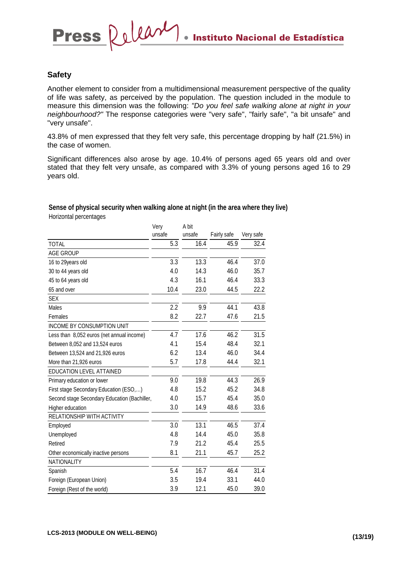#### **Safety**

**Press** 

Another element to consider from a multidimensional measurement perspective of the quality of life was safety, as perceived by the population. The question included in the module to measure this dimension was the following: *"Do you feel safe walking alone at night in your neighbourhood?"* The response categories were "very safe", "fairly safe", "a bit unsafe" and "very unsafe".

43.8% of men expressed that they felt very safe, this percentage dropping by half (21.5%) in the case of women.

Significant differences also arose by age. 10.4% of persons aged 65 years old and over stated that they felt very unsafe, as compared with 3.3% of young persons aged 16 to 29 years old.

#### **Sense of physical security when walking alone at night (in the area where they live)**

Release

Horizontal percentages

|                                              | Very   | A bit  |             |           |
|----------------------------------------------|--------|--------|-------------|-----------|
|                                              | unsafe | unsafe | Fairly safe | Very safe |
| <b>TOTAL</b>                                 | 5.3    | 16.4   | 45.9        | 32.4      |
| <b>AGE GROUP</b>                             |        |        |             |           |
| 16 to 29years old                            | 3.3    | 13.3   | 46.4        | 37.0      |
| 30 to 44 years old                           | 4.0    | 14.3   | 46.0        | 35.7      |
| 45 to 64 years old                           | 4.3    | 16.1   | 46.4        | 33.3      |
| 65 and over                                  | 10.4   | 23.0   | 44.5        | 22.2      |
| <b>SEX</b>                                   |        |        |             |           |
| Males                                        | 2.2    | 9.9    | 44.1        | 43.8      |
| Females                                      | 8.2    | 22.7   | 47.6        | 21.5      |
| INCOME BY CONSUMPTION UNIT                   |        |        |             |           |
| Less than 8,052 euros (net annual income)    | 4.7    | 17.6   | 46.2        | 31.5      |
| Between 8,052 and 13,524 euros               | 4.1    | 15.4   | 48.4        | 32.1      |
| Between 13,524 and 21,926 euros              | 6.2    | 13.4   | 46.0        | 34.4      |
| More than 21,926 euros                       | 5.7    | 17.8   | 44.4        | 32.1      |
| EDUCATION LEVEL ATTAINED                     |        |        |             |           |
| Primary education or lower                   | 9.0    | 19.8   | 44.3        | 26.9      |
| First stage Secondary Education (ESO,)       | 4.8    | 15.2   | 45.2        | 34.8      |
| Second stage Secondary Education (Bachiller, | 4.0    | 15.7   | 45.4        | 35.0      |
| Higher education                             | 3.0    | 14.9   | 48.6        | 33.6      |
| RELATIONSHIP WITH ACTIVITY                   |        |        |             |           |
| Employed                                     | 3.0    | 13.1   | 46.5        | 37.4      |
| Unemployed                                   | 4.8    | 14.4   | 45.0        | 35.8      |
| Retired                                      | 7.9    | 21.2   | 45.4        | 25.5      |
| Other economically inactive persons          | 8.1    | 21.1   | 45.7        | 25.2      |
| NATIONALITY                                  |        |        |             |           |
| Spanish                                      | 5.4    | 16.7   | 46.4        | 31.4      |
| Foreign (European Union)                     | 3.5    | 19.4   | 33.1        | 44.0      |
| Foreign (Rest of the world)                  | 3.9    | 12.1   | 45.0        | 39.0      |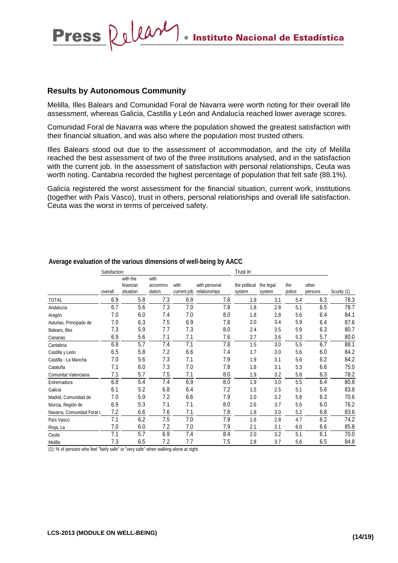**Instituto Nacional de Estadística** 

### **Results by Autonomous Community**

Press Releary

Melilla, Illes Balears and Comunidad Foral de Navarra were worth noting for their overall life assessment, whereas Galicia, Castilla y León and Andalucía reached lower average scores.

Comunidad Foral de Navarra was where the population showed the greatest satisfaction with their financial situation, and was also where the population most trusted others.

Illes Balears stood out due to the assessment of accommodation, and the city of Melilla reached the best assessment of two of the three institutions analysed, and in the satisfaction with the current job. In the assessment of satisfaction with personal relationships, Ceuta was worth noting. Cantabria recorded the highest percentage of population that felt safe (88.1%).

Galicia registered the worst assessment for the financial situation, current work, institutions (together with País Vasco), trust in others, personal relationships and overall life satisfaction. Ceuta was the worst in terms of perceived safety.

|                            | Satisfaction: |                                    |                           |                     |                                | Trust in:               |                     |               |                  |             |
|----------------------------|---------------|------------------------------------|---------------------------|---------------------|--------------------------------|-------------------------|---------------------|---------------|------------------|-------------|
|                            | overall       | with the<br>financial<br>situation | with<br>accommo<br>dation | with<br>current job | with personal<br>relationships | the political<br>system | the legal<br>system | the<br>police | other<br>persons | Scurity (1) |
| <b>TOTAL</b>               | 6.9           | 5.8                                | 7.3                       | 6.9                 | 7.8                            | 1.9                     | 3.1                 | 5.4           | 6.3              | 78.3        |
| Andalucía                  | 6.7           | 5.6                                | 7.3                       | 7.0                 | 7.8                            | 1.8                     | 2.8                 | 5.1           | 6.5              | 78.7        |
| Aragón                     | 7.0           | 6.0                                | 7.4                       | 7.0                 | 8.0                            | 1.8                     | 2.8                 | 5.6           | 6.4              | 84.1        |
| Asturias, Principado de    | 7.0           | 6.3                                | 7.5                       | 6.9                 | 7.8                            | 2.0                     | 3.4                 | 5.9           | 6.4              | 87.6        |
| Balears, Illes             | 7.3           | 5.9                                | 7.7                       | 7.3                 | 8.0                            | 2.4                     | 3.5                 | 5.9           | 6.3              | 80.7        |
| Canarias                   | 6.9           | 5.6                                | 7.1                       | 7.1                 | 7.6                            | 2.7                     | 3.6                 | 5.3           | 5.7              | 80.0        |
| Cantabria                  | 6.8           | 5.7                                | 7.4                       | 7.1                 | 7.8                            | 1.5                     | 3.0                 | 5.5           | 6.7              | 88.1        |
| Castilla y León            | 6.5           | 5.8                                | 7.2                       | 6.6                 | 7.4                            | 1.7                     | 3.0                 | 5.6           | 6.0              | 84.2        |
| Castilla - La Mancha       | 7.0           | 5.6                                | 7.3                       | 7.1                 | 7.9                            | 1.9                     | 3.1                 | 5.6           | 6.2              | 84.2        |
| Cataluña                   | 7.1           | 6.0                                | 7.3                       | 7.0                 | 7.8                            | 1.8                     | 3.1                 | 5.3           | 6.6              | 75.0        |
| Comunitat Valenciana       | 7.1           | 5.7                                | 7.5                       | 7.1                 | 8.0                            | 1.9                     | 3.2                 | 5.8           | 6.3              | 78.2        |
| Extremadura                | 6.8           | 5.4                                | 7.4                       | 6.9                 | 8.0                            | 1.9                     | 3.0                 | 5.5           | 6.4              | 80.8        |
| Galicia                    | 6.1           | 5.2                                | 6.8                       | 6.4                 | 7.2                            | 1.5                     | 2.5                 | 5.1           | 5.6              | 83.8        |
| Madrid, Comunidad de       | 7.0           | 5.9                                | 7.2                       | 6.6                 | 7.9                            | 2.0                     | 3.2                 | 5.8           | 6.3              | 70.6        |
| Murcia, Región de          | 6.9           | 5.3                                | 7.1                       | 7.1                 | 8.0                            | 2.6                     | 3.7                 | 5.6           | 6.0              | 76.2        |
| Navarra, Comunidad Foral o | 7.2           | 6.6                                | 7.6                       | 7.1                 | 7.8                            | 1.8                     | 3.0                 | 5.2           | 6.8              | 83.6        |
| País Vasco                 | 7.1           | 6.2                                | 7.5                       | 7.0                 | 7.9                            | 1.6                     | 2.8                 | 4.7           | 6.2              | 74.2        |
| Rioja, La                  | 7.0           | 6.0                                | 7.2                       | 7.0                 | 7.9                            | 2.1                     | 3.1                 | 6.0           | 6.6              | 85.8        |
| Ceuta                      | 7.1           | 5.7                                | 6.9                       | 7.4                 | 8.4                            | 2.0                     | 3.2                 | 5.1           | 6.1              | 70.0        |
| Melilla                    | 7.3           | 6.5                                | 7.2                       | 7.7                 | 7.5                            | 2.8                     | 3.7                 | 5.6           | 6.5              | 84.8        |

#### **Average evaluation of the various dimensions of well-being by AACC**

(1): % of persons who feel "fairly safe" or "very safe" when walking alone at night.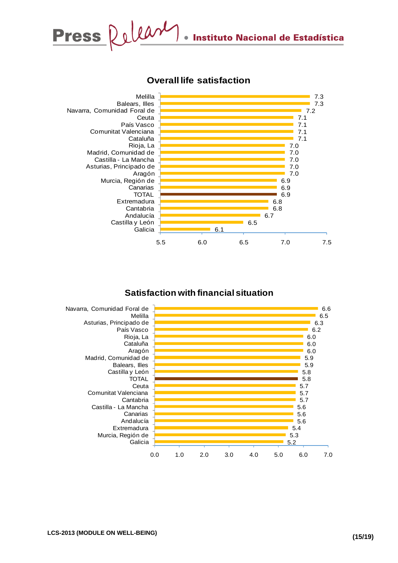



## **Overall life satisfaction**

## **Satisfaction with financial situation**

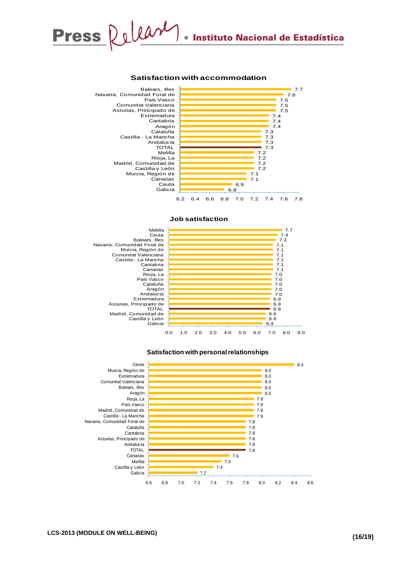# Press Release **Instituto Nacional de Estadística**

#### **Satisfaction with accommodation**



#### **Job satisfaction**





#### **Satisfaction with personal relationships**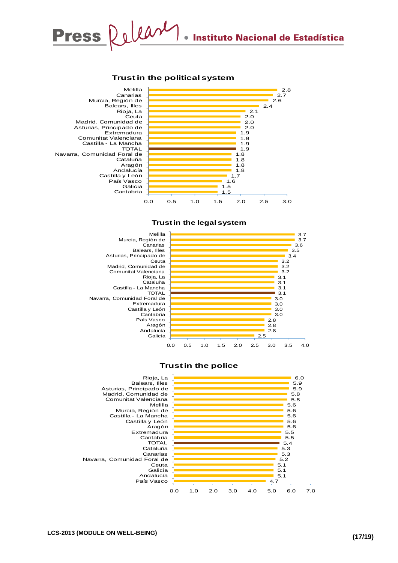#### **Trust in the political system**









4.7 5.1  $\overline{5.1}$ 5.1 5.2 5.3

0.0 1.0 2.0 3.0 4.0 5.0 6.0 7.0

**Trust in the police**

País Vasco Andalucía Galicia Ceuta Navarra, Comunidad Foral de Canarias Cataluña TOTAL Asturias, Principado de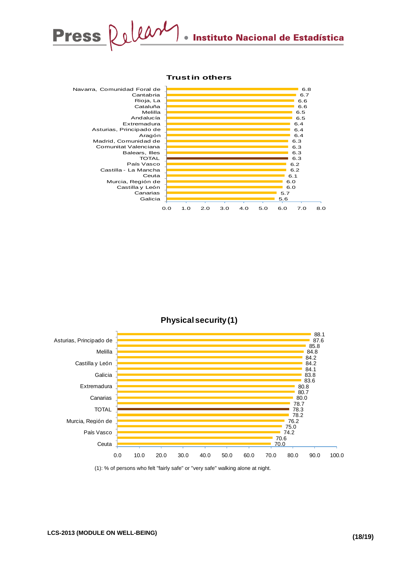

#### **Trust in others**







<sup>(1): %</sup> of persons who felt "fairly safe" or "very safe" walking alone at night.